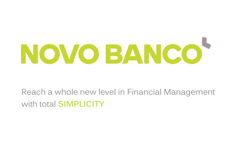

### Reach a whole new level in Financial Management with total **SIMPLICITY**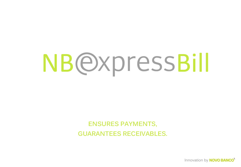# **NB@xpressBill**

### **ENSURES PAYMENTS, GUARANTEES RECEIVABLES.**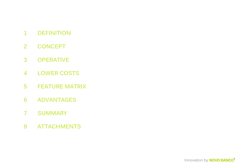#### **DEFINITION 1**

- **CONCEPT 2**
- **OPERATIVE 3**
- **LOWER COSTS 4**
- **FEATURE MATRIX 5**
- **ADVANTAGES 6**
- **SUMMARY 7**
- **ATTACHMENTS 8**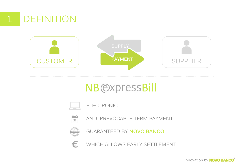

## **NB**@xpressBill



#### ELECTRONIC



AND IRREVOCABLE TERM PAYMENT



GUARANTEED BY **NOVO BANCO**

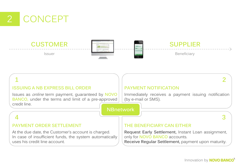

### **CUSTOMER SUPPLIER**







At the due date, the Customer's account is charged. In case of insufficient funds, the system automatically uses his credit line account.

**Request Early Settlement,** Instant Loan assignment, only for **NOVO BANCO** accounts. **Receive Regular Settlement,** payment upon maturity.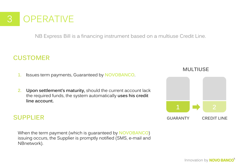

NB Express Bill is a financing instrument based on a multiuse Credit Line.

### **CUSTOMER**

- **1. I**ssues term payments, Guaranteed by **NOVOBANCO**.
- **2. Upon settlement's maturity,** should the current account lack the required funds, the system automatically **uses his credit line account.**

#### **SUPPLIER**

When the term payment (which is guaranteed by **NOVOBANCO**) issuing occurs, the Supplier is promptly notified (SMS, e-mail and NBnetwork).

**MULTIUSE**

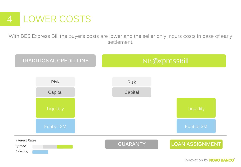## 4 LOWER COSTS

With BES Express Bill the buyer's costs are lower and the seller only incurs costs in case of early settlement.

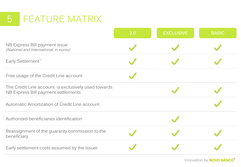## 5 FEATURE MATRIX

|                                                                                            | 2.0 | <b>EXCLUSIVE</b> | <b>BASIC</b> |
|--------------------------------------------------------------------------------------------|-----|------------------|--------------|
| NB Express Bill payment issue<br>(National and International, in euros)                    |     |                  |              |
| Early Settlement*                                                                          |     |                  |              |
| Free usage of the Credit Line account                                                      |     |                  |              |
| The Credit Line account is exclusively used towards<br>NB Express Bill payment settlements |     |                  |              |
| Automatic Amortization of Credit Line account                                              |     |                  |              |
| Authorized beneficiaries identification                                                    |     |                  |              |
| Reassignment of the guaranty commission to the<br>beneficiary                              |     |                  |              |
| Early settlement costs assumed by the Issuer                                               |     |                  |              |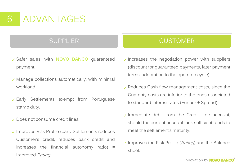

- Safer sales, with **NOVO BANCO** guaranteed payment.
- $\vee$  Manage collections automatically, with minimal workload.
- Early Settlements exempt from Portuguese stamp duty.
- **Does not consume credit lines.**
- $\vee$  Improves Risk Profile (early Settlements reduces Customer's credit, reduces bank credit and increases the financial autonomy ratio)  $=$ Improved Rating.

#### SUPPLIER **CUSTOMER**

- $\vee$  Increases the negotiation power with suppliers (discount for guaranteed payments, later payment terms, adaptation to the operaton cycle).
- $\vee$  Reduces Cash flow management costs, since the Guaranty costs are inferior to the ones associated to standard Interest rates (Euribor + Spread).
- $\vee$  Immediate debit from the Credit Line account. should the current account lack sufficient funds to meet the settlement's maturity.
- $\vee$  Improves the Risk Profile (*Rating*) and the Balance sheet.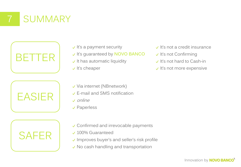## **SUMMARY**







- $\vee$  It's a payment security
- It's guaranteed by **NOVO BANCO**
- $\vee$  It has automatic liquidity
- $\vee$  It's cheaper
- $\vee$  It's not a credit insurance
- $\checkmark$  It's not Confirming
- $\vee$  It's not hard to Cash-in
- $\vee$  It's not more expensive

- Via internet (NBnetwork)
- E-mail and SMS notification
- online
- Paperless
- Confirmed and irrevocable payments
- 100% Guaranteed
- $\checkmark$  Improves buyer's and seller's risk profile
- $\vee$  No cash handling and transportation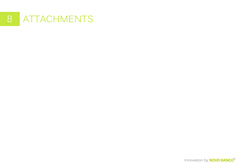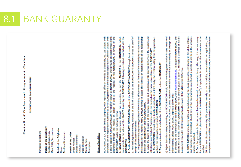AUTONOMOUS BANK GUARANTEE

## Particular Conditions

Details of the Beneficiary lax Identification no.

BAN / BIN / Account no.

# Details of the Originator

Tax Identification no. Name

#### Details of the Order Invoice Reference Order Number

Date of emission Maturity Date Descriptive Amount

## General Conditions

NOVO BANCO, S.A., public limited company, with registered office at Avenida da Liberdade, no. 195 Lisbon, with corporate tax and registration number 513 204 016, registered at the Business Registration Office of Lisbon, with<br>a share capital of €4.900.000.000,00, hereinafter known as NOVO BANCO, shall provide an autonomous bank the request of the ORIGINATOR, in favour of the and at means, on behalf of BENEFICIARY, under the following terms: guarantee through this

pay the AMOUNT to the BENEFICIARY, which 9 NOVO BANCO undertakes, through this guarantee, **ORIGINATOR.** 

receipt of the payment claimed.

corresponds to the value of the INVOICE issued by the **BENEFICIARY**, following a contract concluded with the COMBINATOR.<br>**CRIGINATOR.**<br>2. Any bie Maring documentary evidence of the bank transfer to the **BENEFICIARY'S ACCOU** between the BENEFICIARY and the ORIGINATOR.

effectiveness of this Bank Guarantee does not depend on the express acceptance of the BENEFICIARY.

7. The guarantee is valid and effective till the MATURITY DATE, unless the BENEFICIARY:

SWIFT interbank message to NOVO BANCO, since rejection cannot be carried out electronically or through any other channel, unless NOVO BANCO expressly allows this;  $\overline{\mathfrak{m}}$ 

b) chooses, on the NBnetwork or on the NOVO BANCO site www.novobanco.pt, to assign to NOVO BANCO the credits that it holds, over the ORIGINATOR for the amount given in point 1, through a Contract of Credit Assignment concluded electronically within the scope of the NB Express Bill Service.

8. NOVO BANCO is immediately released from honouring this bank guarantee, considering it, for all due intents and purposes, as terminated, should any of the circumstances mentioned in points a) and b) in the previous number be verified.

9. Once the guarantee in this document has been honoured, or terminated in any other way, it is not necessary<br>for the BENEFICIARY to physically return it to NOVO BANCO, if applicable, in order for the termination to be verified.

10. For any dispute concerning this guarantee, namely as to its validity, interpretation or application, the competent court will be that of the district closest to the residence of the ORIGINATOR, to be chosen only from